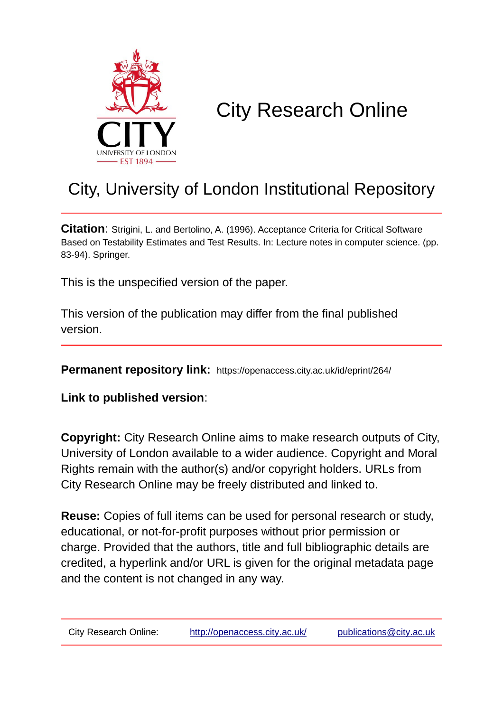

# City Research Online

## City, University of London Institutional Repository

**Citation**: Strigini, L. and Bertolino, A. (1996). Acceptance Criteria for Critical Software Based on Testability Estimates and Test Results. In: Lecture notes in computer science. (pp. 83-94). Springer.

This is the unspecified version of the paper.

This version of the publication may differ from the final published version.

**Permanent repository link:** https://openaccess.city.ac.uk/id/eprint/264/

**Link to published version**:

**Copyright:** City Research Online aims to make research outputs of City, University of London available to a wider audience. Copyright and Moral Rights remain with the author(s) and/or copyright holders. URLs from City Research Online may be freely distributed and linked to.

**Reuse:** Copies of full items can be used for personal research or study, educational, or not-for-profit purposes without prior permission or charge. Provided that the authors, title and full bibliographic details are credited, a hyperlink and/or URL is given for the original metadata page and the content is not changed in any way.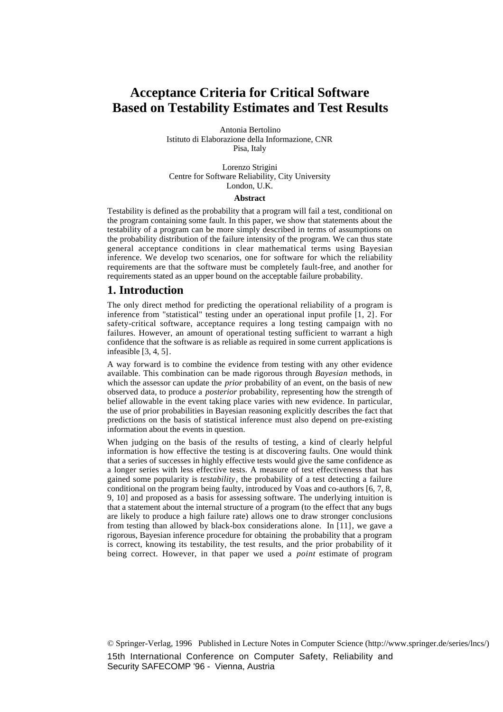## **Acceptance Criteria for Critical Software Based on Testability Estimates and Test Results**

Antonia Bertolino Istituto di Elaborazione della Informazione, CNR Pisa, Italy

Lorenzo Strigini Centre for Software Reliability, City University London, U.K.

#### **Abstract**

Testability is defined as the probability that a program will fail a test, conditional on the program containing some fault. In this paper, we show that statements about the testability of a program can be more simply described in terms of assumptions on the probability distribution of the failure intensity of the program. We can thus state general acceptance conditions in clear mathematical terms using Bayesian inference. We develop two scenarios, one for software for which the reliability requirements are that the software must be completely fault-free, and another for requirements stated as an upper bound on the acceptable failure probability.

#### **1. Introduction**

The only direct method for predicting the operational reliability of a program is inference from "statistical" testing under an operational input profile [1, 2]. For safety-critical software, acceptance requires a long testing campaign with no failures. However, an amount of operational testing sufficient to warrant a high confidence that the software is as reliable as required in some current applications is infeasible [3, 4, 5].

A way forward is to combine the evidence from testing with any other evidence available. This combination can be made rigorous through *Bayesian* methods, in which the assessor can update the *prior* probability of an event, on the basis of new observed data, to produce a *posterior* probability, representing how the strength of belief allowable in the event taking place varies with new evidence. In particular, the use of prior probabilities in Bayesian reasoning explicitly describes the fact that predictions on the basis of statistical inference must also depend on pre-existing information about the events in question.

When judging on the basis of the results of testing, a kind of clearly helpful information is how effective the testing is at discovering faults. One would think that a series of successes in highly effective tests would give the same confidence as a longer series with less effective tests. A measure of test effectiveness that has gained some popularity is *testability*, the probability of a test detecting a failure conditional on the program being faulty, introduced by Voas and co-authors [6, 7, 8, 9, 10] and proposed as a basis for assessing software. The underlying intuition is that a statement about the internal structure of a program (to the effect that any bugs are likely to produce a high failure rate) allows one to draw stronger conclusions from testing than allowed by black-box considerations alone. In [11], we gave a rigorous, Bayesian inference procedure for obtaining the probability that a program is correct, knowing its testability, the test results, and the prior probability of it being correct. However, in that paper we used a *point* estimate of program

© Springer-Verlag, 1996 Published in Lecture Notes in Computer Science (http://www.springer.de/series/lncs/) 15th International Conference on Computer Safety, Reliability and Security SAFECOMP '96 - Vienna, Austria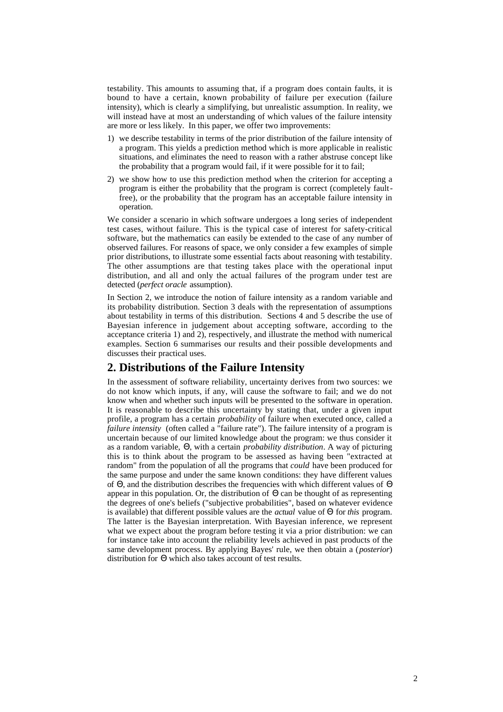testability. This amounts to assuming that, if a program does contain faults, it is bound to have a certain, known probability of failure per execution (failure intensity), which is clearly a simplifying, but unrealistic assumption. In reality, we will instead have at most an understanding of which values of the failure intensity are more or less likely. In this paper, we offer two improvements:

- 1) we describe testability in terms of the prior distribution of the failure intensity of a program. This yields a prediction method which is more applicable in realistic situations, and eliminates the need to reason with a rather abstruse concept like the probability that a program would fail, if it were possible for it to fail;
- 2) we show how to use this prediction method when the criterion for accepting a program is either the probability that the program is correct (completely faultfree), or the probability that the program has an acceptable failure intensity in operation.

We consider a scenario in which software undergoes a long series of independent test cases, without failure. This is the typical case of interest for safety-critical software, but the mathematics can easily be extended to the case of any number of observed failures. For reasons of space, we only consider a few examples of simple prior distributions, to illustrate some essential facts about reasoning with testability. The other assumptions are that testing takes place with the operational input distribution, and all and only the actual failures of the program under test are detected (*perfect oracle* assumption).

In Section 2, we introduce the notion of failure intensity as a random variable and its probability distribution. Section 3 deals with the representation of assumptions about testability in terms of this distribution. Sections 4 and 5 describe the use of Bayesian inference in judgement about accepting software, according to the acceptance criteria 1) and 2), respectively, and illustrate the method with numerical examples. Section 6 summarises our results and their possible developments and discusses their practical uses.

#### **2. Distributions of the Failure Intensity**

In the assessment of software reliability, uncertainty derives from two sources: we do not know which inputs, if any, will cause the software to fail; and we do not know when and whether such inputs will be presented to the software in operation. It is reasonable to describe this uncertainty by stating that, under a given input profile, a program has a certain *probability* of failure when executed once, called a *failure intensity* (often called a "failure rate"). The failure intensity of a program is uncertain because of our limited knowledge about the program: we thus consider it as a random variable, Θ, with a certain *probability distribution*. A way of picturing this is to think about the program to be assessed as having been "extracted at random" from the population of all the programs that *could* have been produced for the same purpose and under the same known conditions: they have different values of Θ, and the distribution describes the frequencies with which different values of Θ appear in this population. Or, the distribution of Θ can be thought of as representing the degrees of one's beliefs ("subjective probabilities", based on whatever evidence is available) that different possible values are the *actual* value of Θ for *this* program. The latter is the Bayesian interpretation. With Bayesian inference, we represent what we expect about the program before testing it via a prior distribution: we can for instance take into account the reliability levels achieved in past products of the same development process. By applying Bayes' rule, we then obtain a (*posterior*) distribution for Θ which also takes account of test results.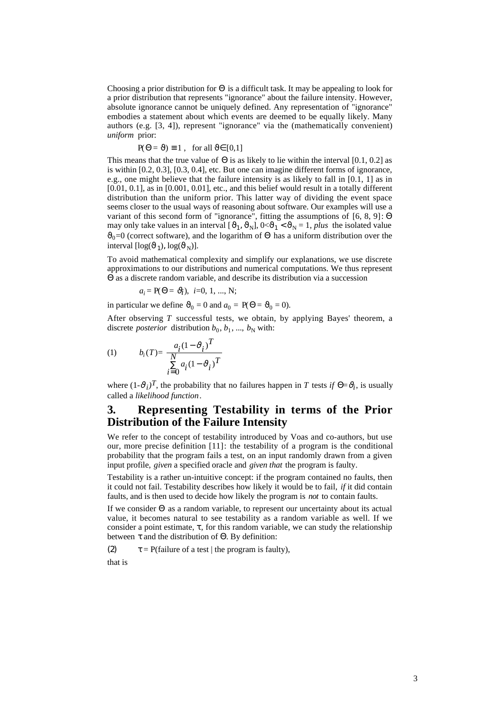Choosing a prior distribution for  $\Theta$  is a difficult task. It may be appealing to look for a prior distribution that represents "ignorance" about the failure intensity. However, absolute ignorance cannot be uniquely defined. Any representation of "ignorance" embodies a statement about which events are deemed to be equally likely. Many authors (e.g. [3, 4]), represent "ignorance" via the (mathematically convenient) *uniform* prior:

$$
P(\Theta = \vartheta) \equiv 1 \ , \text{ for all } \vartheta \in [0,1]
$$

This means that the true value of  $\Theta$  is as likely to lie within the interval [0.1, 0.2] as is within [0.2, 0.3], [0.3, 0.4], etc. But one can imagine different forms of ignorance, e.g., one might believe that the failure intensity is as likely to fall in [0.1, 1] as in [0.01, 0.1], as in [0.001, 0.01], etc., and this belief would result in a totally different distribution than the uniform prior. This latter way of dividing the event space seems closer to the usual ways of reasoning about software. Our examples will use a variant of this second form of "ignorance", fitting the assumptions of [6, 8, 9]: Θ may only take values in an interval  $[\hat{v}_1, \hat{v}_N], 0 \le \hat{v}_1 < \hat{v}_N = 1$ , *plus* the isolated value  $\vartheta_0=0$  (correct software), and the logarithm of  $\Theta$  has a uniform distribution over the interval  $[\log(\vartheta_1), \log(\vartheta_N)]$ .

To avoid mathematical complexity and simplify our explanations, we use discrete approximations to our distributions and numerical computations. We thus represent Θ as a discrete random variable, and describe its distribution via a succession

$$
a_i = P(\Theta = \vartheta_i), i=0, 1, ..., N;
$$

in particular we define  $\vartheta_0 = 0$  and  $a_0 = P(\Theta = \vartheta_0 = 0)$ .

After observing *T* successful tests, we obtain, by applying Bayes' theorem, a discrete *posterior* distribution  $b_0, b_1, ..., b_N$  with:

$$
(1) \hspace{1cm} b_i(T) = \frac{a_i(1-\vartheta_i)^T}{\sum\limits_{i=0}^{N} a_i(1-\vartheta_i)^T}
$$

where  $(1-\vartheta_i)^T$ , the probability that no failures happen in *T* tests *if*  $\Theta = \vartheta_i$ , is usually called a *likelihood function*.

### **3. Representing Testability in terms of the Prior Distribution of the Failure Intensity**

We refer to the concept of testability introduced by Voas and co-authors, but use our, more precise definition [11]: the testability of a program is the conditional probability that the program fails a test, on an input randomly drawn from a given input profile, *given* a specified oracle and *given that* the program is faulty.

Testability is a rather un-intuitive concept: if the program contained no faults, then it could not fail. Testability describes how likely it would be to fail, *if* it did contain faults, and is then used to decide how likely the program is *not* to contain faults.

If we consider Θ as a random variable, to represent our uncertainty about its actual value, it becomes natural to see testability as a random variable as well. If we consider a point estimate,  $\tau$ , for this random variable, we can study the relationship between  $\tau$  and the distribution of  $\Theta$ . By definition:

(2)  $\tau = P(\text{failure of a test } | \text{ the program is faulty}),$ that is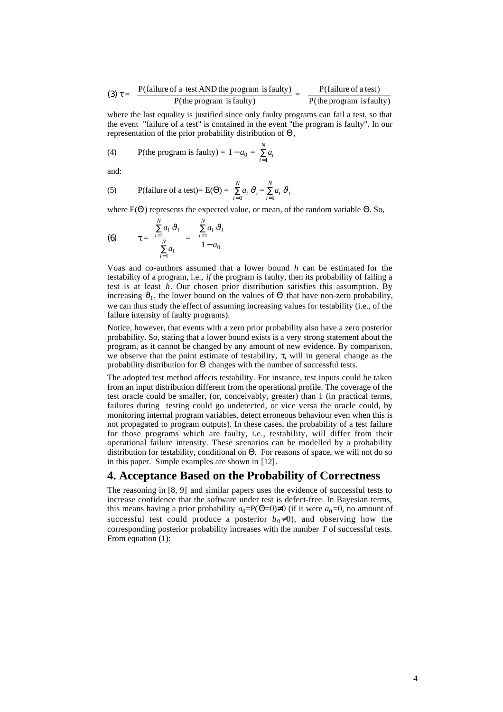(3) 
$$
\tau =
$$
 P(failure of a test AND the program is faulty)  $=$  P(failure of a test)   
 P(the program is faulty)  $=$  P(the program is faulty)

where the last equality is justified since only faulty programs can fail a test, so that the event "failure of a test" is contained in the event "the program is faulty". In our representation of the prior probability distribution of Θ,

(4) P(the program is faulty) = 
$$
1 - a_0 = \sum_{i=1}^{N} a_i
$$

and:

(5) P(failure of a test)= E(\Theta) = 
$$
\sum_{i=0}^{N} a_i \,\vartheta_i = \sum_{i=1}^{N} a_i \,\vartheta_i
$$

where  $E(\Theta)$  represents the expected value, or mean, of the random variable  $\Theta$ . So,

(6) 
$$
\tau = \frac{\sum_{i=1}^{N} a_i \,\vartheta_i}{\sum_{i=1}^{N} a_i} = \frac{\sum_{i=1}^{N} a_i \,\vartheta_i}{1 - a_0}
$$

Voas and co-authors assumed that a lower bound *h* can be estimated for the testability of a program, i.e., *if* the program is faulty, then its probability of failing a test is at least *h*. Our chosen prior distribution satisfies this assumption. By increasing  $\mathfrak{v}_1$ , the lower bound on the values of  $\Theta$  that have non-zero probability, we can thus study the effect of assuming increasing values for testability (i.e., of the failure intensity of faulty programs).

Notice, however, that events with a zero prior probability also have a zero posterior probability. So, stating that a lower bound exists is a very strong statement about the program, as it cannot be changed by any amount of new evidence. By comparison, we observe that the point estimate of testability,  $\tau$ , will in general change as the probability distribution for Θ changes with the number of successful tests.

The adopted test method affects testability. For instance, test inputs could be taken from an input distribution different from the operational profile. The coverage of the test oracle could be smaller, (or, conceivably, greater) than 1 (in practical terms, failures during testing could go undetected, or vice versa the oracle could, by monitoring internal program variables, detect erroneous behaviour even when this is not propagated to program outputs). In these cases, the probability of a test failure for those programs which are faulty, i.e., testability, will differ from their operational failure intensity. These scenarios can be modelled by a probability distribution for testability, conditional on Θ. For reasons of space, we will not do so in this paper. Simple examples are shown in [12].

#### **4. Acceptance Based on the Probability of Correctness**

The reasoning in [8, 9] and similar papers uses the evidence of successful tests to increase confidence that the software under test is defect-free. In Bayesian terms, this means having a prior probability  $a_0 = P(\Theta = 0) \neq 0$  (if it were  $a_0 = 0$ , no amount of successful test could produce a posterior  $b_0 \neq 0$ ), and observing how the corresponding posterior probability increases with the number *T* of successful tests. From equation (1):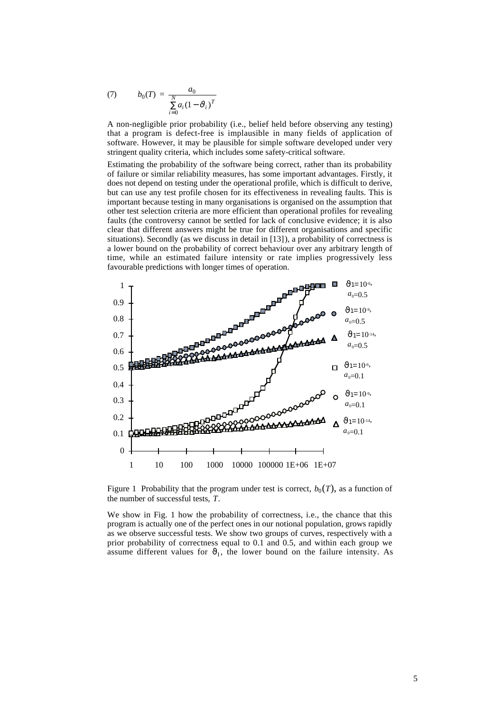(7) 
$$
b_0(T) = \frac{a_0}{\sum_{i=0}^{N} a_i (1 - \vartheta_i)^T}
$$

A non-negligible prior probability (i.e., belief held before observing any testing) that a program is defect-free is implausible in many fields of application of software. However, it may be plausible for simple software developed under very stringent quality criteria, which includes some safety-critical software.

Estimating the probability of the software being correct, rather than its probability of failure or similar reliability measures, has some important advantages. Firstly, it does not depend on testing under the operational profile, which is difficult to derive, but can use any test profile chosen for its effectiveness in revealing faults. This is important because testing in many organisations is organised on the assumption that other test selection criteria are more efficient than operational profiles for revealing faults (the controversy cannot be settled for lack of conclusive evidence; it is also clear that different answers might be true for different organisations and specific situations). Secondly (as we discuss in detail in [13]), a probability of correctness is a lower bound on the probability of correct behaviour over any arbitrary length of time, while an estimated failure intensity or rate implies progressively less favourable predictions with longer times of operation.



Figure 1 Probability that the program under test is correct,  $b_0(T)$ , as a function of the number of successful tests, *T*.

We show in Fig. 1 how the probability of correctness, i.e., the chance that this program is actually one of the perfect ones in our notional population, grows rapidly as we observe successful tests. We show two groups of curves, respectively with a prior probability of correctness equal to 0.1 and 0.5, and within each group we assume different values for  $\vartheta_1$ , the lower bound on the failure intensity. As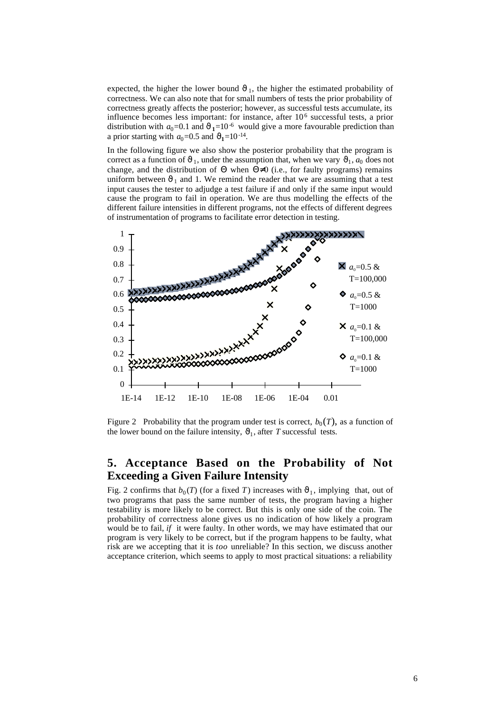expected, the higher the lower bound  $\vartheta_1$ , the higher the estimated probability of correctness. We can also note that for small numbers of tests the prior probability of correctness greatly affects the posterior; however, as successful tests accumulate, its influence becomes less important: for instance, after 106 successful tests, a prior distribution with  $a_0=0.1$  and  $\vartheta_1=10^{-6}$  would give a more favourable prediction than a prior starting with  $a_0=0.5$  and  $\vartheta_1=10^{-14}$ .

In the following figure we also show the posterior probability that the program is correct as a function of  $\vartheta_1$ , under the assumption that, when we vary  $\vartheta_1$ ,  $a_0$  does not change, and the distribution of  $\Theta$  when  $\Theta \neq 0$  (i.e., for faulty programs) remains uniform between  $\vartheta_1$  and 1. We remind the reader that we are assuming that a test input causes the tester to adjudge a test failure if and only if the same input would cause the program to fail in operation. We are thus modelling the effects of the different failure intensities in different programs, not the effects of different degrees of instrumentation of programs to facilitate error detection in testing.



Figure 2 Probability that the program under test is correct,  $b_0(T)$ , as a function of the lower bound on the failure intensity,  $\vartheta_1$ , after *T* successful tests.

#### **5. Acceptance Based on the Probability of Not Exceeding a Given Failure Intensity**

Fig. 2 confirms that  $b_0(T)$  (for a fixed T) increases with  $\vartheta_1$ , implying that, out of two programs that pass the same number of tests, the program having a higher testability is more likely to be correct. But this is only one side of the coin. The probability of correctness alone gives us no indication of how likely a program would be to fail, *if* it were faulty. In other words, we may have estimated that our program is very likely to be correct, but if the program happens to be faulty, what risk are we accepting that it is *too* unreliable? In this section, we discuss another acceptance criterion, which seems to apply to most practical situations: a reliability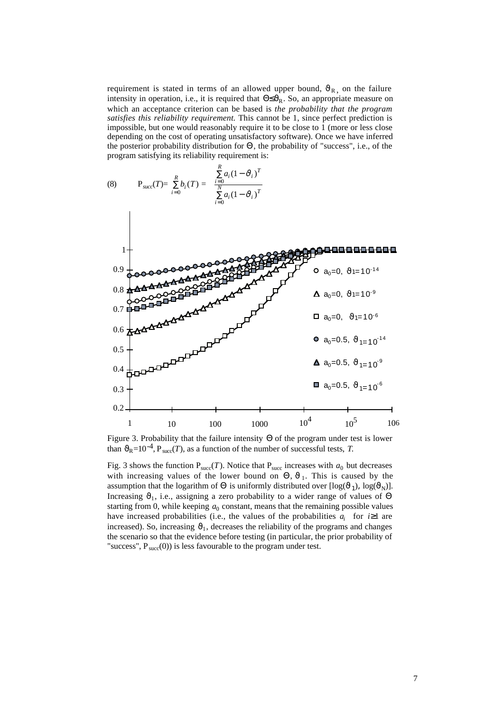requirement is stated in terms of an allowed upper bound,  $\vartheta_{R_1}$  on the failure intensity in operation, i.e., it is required that  $\Theta \leq \theta_R$ . So, an appropriate measure on which an acceptance criterion can be based is *the probability that the program satisfies this reliability requirement.* This cannot be 1, since perfect prediction is impossible, but one would reasonably require it to be close to 1 (more or less close depending on the cost of operating unsatisfactory software). Once we have inferred the posterior probability distribution for Θ, the probability of "success", i.e., of the program satisfying its reliability requirement is:



Figure 3. Probability that the failure intensity Θ of the program under test is lower than  $\mathcal{O}_R$ =10<sup>-4</sup>, P<sub>succ</sub>(*T*), as a function of the number of successful tests, *T*.

Fig. 3 shows the function  $P_{succ}(T)$ . Notice that  $P_{succ}$  increases with  $a_0$  but decreases with increasing values of the lower bound on  $\Theta$ ,  $\vartheta_1$ . This is caused by the assumption that the logarithm of  $\Theta$  is uniformly distributed over  $[\log(\vartheta_1), \log(\vartheta_N)]$ . Increasing  $\vartheta_1$ , i.e., assigning a zero probability to a wider range of values of  $\Theta$ starting from 0, while keeping  $a_0$  constant, means that the remaining possible values have increased probabilities (i.e., the values of the probabilities  $a_i$  for  $i \ge 1$  are increased). So, increasing  $\vartheta_1$ , decreases the reliability of the programs and changes the scenario so that the evidence before testing (in particular, the prior probability of "success",  $P_{succ}(0)$ ) is less favourable to the program under test.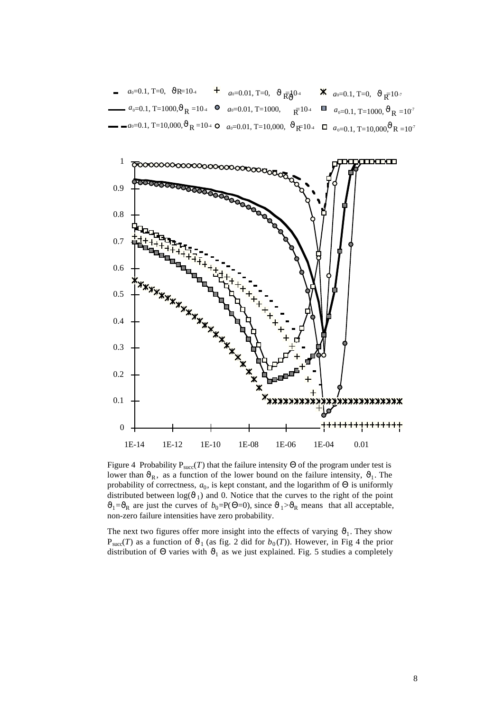



Figure 4 Probability  $P_{succ}(T)$  that the failure intensity  $\Theta$  of the program under test is lower than  $\vartheta_R$ , as a function of the lower bound on the failure intensity,  $\vartheta_1$ . The probability of correctness,  $a_0$ , is kept constant, and the logarithm of  $\Theta$  is uniformly distributed between  $log(\vartheta_1)$  and 0. Notice that the curves to the right of the point  $\vartheta_1 = \vartheta_R$  are just the curves of  $b_0 = P(\Theta = 0)$ , since  $\vartheta_1 > \vartheta_R$  means that all acceptable, non-zero failure intensities have zero probability.

The next two figures offer more insight into the effects of varying  $\vartheta_1$ . They show  $P_{succ}(T)$  as a function of  $\vartheta_1$  (as fig. 2 did for  $b_0(T)$ ). However, in Fig 4 the prior distribution of  $\Theta$  varies with  $\mathfrak{v}_1$  as we just explained. Fig. 5 studies a completely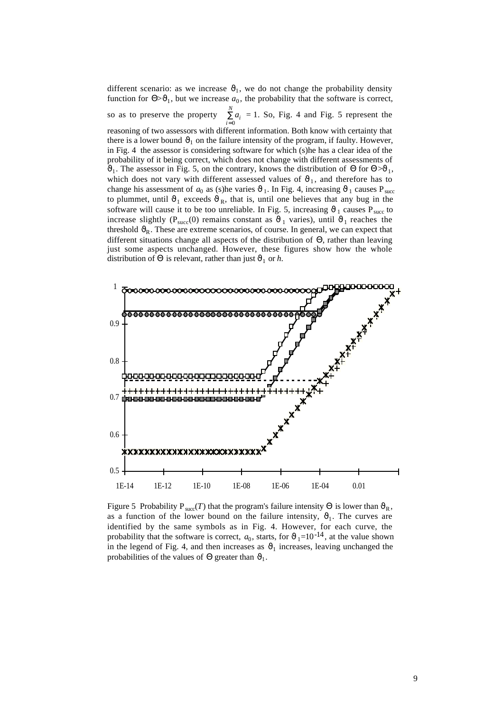different scenario: as we increase  $\vartheta_1$ , we do not change the probability density function for  $\Theta > \theta_1$ , but we increase  $a_0$ , the probability that the software is correct, so as to preserve the property *ai i*=0  $\sum_{i=1}^{N} a_i = 1$ . So, Fig. 4 and Fig. 5 represent the reasoning of two assessors with different information. Both know with certainty that there is a lower bound  $\vartheta_1$  on the failure intensity of the program, if faulty. However, in Fig. 4 the assessor is considering software for which (s)he has a clear idea of the probability of it being correct, which does not change with different assessments of  $\vartheta_1$ . The assessor in Fig. 5, on the contrary, knows the distribution of  $\Theta$  for  $\Theta > \vartheta_1$ , which does not vary with different assessed values of  $\vartheta_1$ , and therefore has to change his assessment of  $a_0$  as (s)he varies  $\vartheta_1$ . In Fig. 4, increasing  $\vartheta_1$  causes  $P_{succ}$ to plummet, until  $\vartheta_1$  exceeds  $\vartheta_R$ , that is, until one believes that any bug in the software will cause it to be too unreliable. In Fig. 5, increasing  $\vartheta_1$  causes P<sub>succ</sub> to increase slightly ( $P<sub>succ</sub>(0)$  remains constant as  $\vartheta_1$  varies), until  $\vartheta_1$  reaches the threshold  $\mathcal{O}_R$ . These are extreme scenarios, of course. In general, we can expect that different situations change all aspects of the distribution of Θ, rather than leaving just some aspects unchanged. However, these figures show how the whole distribution of  $\Theta$  is relevant, rather than just  $\vartheta_1$  or *h*.



Figure 5 Probability P<sub>succ</sub>(*T*) that the program's failure intensity  $\Theta$  is lower than  $\vartheta_R$ , as a function of the lower bound on the failure intensity,  $\vartheta_1$ . The curves are identified by the same symbols as in Fig. 4. However, for each curve, the probability that the software is correct,  $a_0$ , starts, for  $\vartheta_1=10^{-14}$ , at the value shown in the legend of Fig. 4, and then increases as  $\vartheta_1$  increases, leaving unchanged the probabilities of the values of  $\Theta$  greater than  $\vartheta_1$ .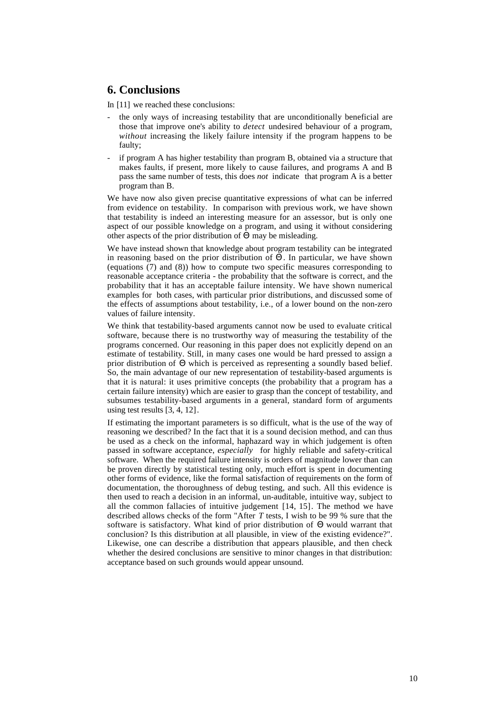#### **6. Conclusions**

In [11] we reached these conclusions:

- the only ways of increasing testability that are unconditionally beneficial are those that improve one's ability to *detect* undesired behaviour of a program, *without* increasing the likely failure intensity if the program happens to be faulty;
- if program A has higher testability than program B, obtained via a structure that makes faults, if present, more likely to cause failures, and programs A and B pass the same number of tests, this does *not* indicate that program A is a better program than B.

We have now also given precise quantitative expressions of what can be inferred from evidence on testability. In comparison with previous work, we have shown that testability is indeed an interesting measure for an assessor, but is only one aspect of our possible knowledge on a program, and using it without considering other aspects of the prior distribution of Θ may be misleading.

We have instead shown that knowledge about program testability can be integrated in reasoning based on the prior distribution of  $\Theta$ . In particular, we have shown (equations (7) and (8)) how to compute two specific measures corresponding to reasonable acceptance criteria - the probability that the software is correct, and the probability that it has an acceptable failure intensity. We have shown numerical examples for both cases, with particular prior distributions, and discussed some of the effects of assumptions about testability, i.e., of a lower bound on the non-zero values of failure intensity.

We think that testability-based arguments cannot now be used to evaluate critical software, because there is no trustworthy way of measuring the testability of the programs concerned. Our reasoning in this paper does not explicitly depend on an estimate of testability. Still, in many cases one would be hard pressed to assign a prior distribution of Θ which is perceived as representing a soundly based belief. So, the main advantage of our new representation of testability-based arguments is that it is natural: it uses primitive concepts (the probability that a program has a certain failure intensity) which are easier to grasp than the concept of testability, and subsumes testability-based arguments in a general, standard form of arguments using test results [3, 4, 12].

If estimating the important parameters is so difficult, what is the use of the way of reasoning we described? In the fact that it is a sound decision method, and can thus be used as a check on the informal, haphazard way in which judgement is often passed in software acceptance, *especially* for highly reliable and safety-critical software. When the required failure intensity is orders of magnitude lower than can be proven directly by statistical testing only, much effort is spent in documenting other forms of evidence, like the formal satisfaction of requirements on the form of documentation, the thoroughness of debug testing, and such. All this evidence is then used to reach a decision in an informal, un-auditable, intuitive way, subject to all the common fallacies of intuitive judgement [14, 15]. The method we have described allows checks of the form "After *T* tests, I wish to be 99 % sure that the software is satisfactory. What kind of prior distribution of Θ would warrant that conclusion? Is this distribution at all plausible, in view of the existing evidence?". Likewise, one can describe a distribution that appears plausible, and then check whether the desired conclusions are sensitive to minor changes in that distribution: acceptance based on such grounds would appear unsound.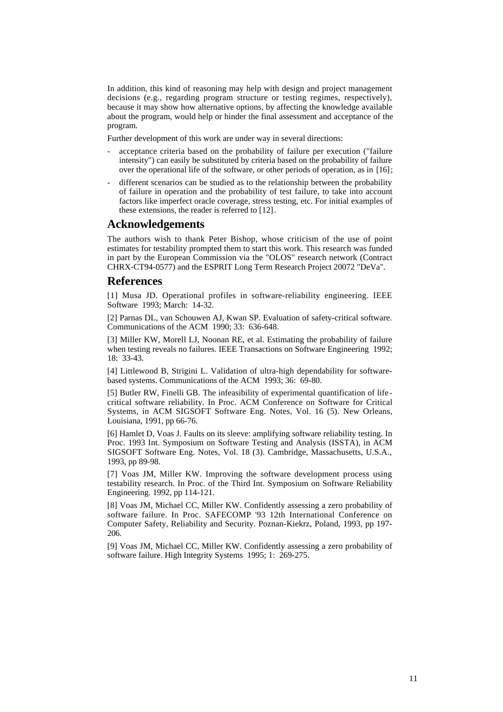In addition, this kind of reasoning may help with design and project management decisions (e.g., regarding program structure or testing regimes, respectively), because it may show how alternative options, by affecting the knowledge available about the program, would help or hinder the final assessment and acceptance of the program.

Further development of this work are under way in several directions:

- acceptance criteria based on the probability of failure per execution ("failure intensity") can easily be substituted by criteria based on the probability of failure over the operational life of the software, or other periods of operation, as in [16];
- different scenarios can be studied as to the relationship between the probability of failure in operation and the probability of test failure, to take into account factors like imperfect oracle coverage, stress testing, etc. For initial examples of these extensions, the reader is referred to [12].

#### **Acknowledgements**

The authors wish to thank Peter Bishop, whose criticism of the use of point estimates for testability prompted them to start this work. This research was funded in part by the European Commission via the "OLOS" research network (Contract CHRX-CT94-0577) and the ESPRIT Long Term Research Project 20072 "DeVa".

#### **References**

[1] Musa JD. Operational profiles in software-reliability engineering. IEEE Software 1993; March: 14-32.

[2] Parnas DL, van Schouwen AJ, Kwan SP. Evaluation of safety-critical software. Communications of the ACM 1990; 33: 636-648.

[3] Miller KW, Morell LJ, Noonan RE, et al. Estimating the probability of failure when testing reveals no failures. IEEE Transactions on Software Engineering 1992; 18: 33-43.

[4] Littlewood B, Strigini L. Validation of ultra-high dependability for softwarebased systems. Communications of the ACM 1993; 36: 69-80.

[5] Butler RW, Finelli GB. The infeasibility of experimental quantification of lifecritical software reliability. In Proc. ACM Conference on Software for Critical Systems, in ACM SIGSOFT Software Eng. Notes, Vol. 16 (5). New Orleans, Louisiana, 1991, pp 66-76.

[6] Hamlet D, Voas J. Faults on its sleeve: amplifying software reliability testing. In Proc. 1993 Int. Symposium on Software Testing and Analysis (ISSTA), in ACM SIGSOFT Software Eng. Notes, Vol. 18 (3). Cambridge, Massachusetts, U.S.A., 1993, pp 89-98.

[7] Voas JM, Miller KW. Improving the software development process using testability research. In Proc. of the Third Int. Symposium on Software Reliability Engineering. 1992, pp 114-121.

[8] Voas JM, Michael CC, Miller KW. Confidently assessing a zero probability of software failure. In Proc. SAFECOMP '93 12th International Conference on Computer Safety, Reliability and Security. Poznan-Kiekrz, Poland, 1993, pp 197- 206.

[9] Voas JM, Michael CC, Miller KW. Confidently assessing a zero probability of software failure. High Integrity Systems 1995; 1: 269-275.